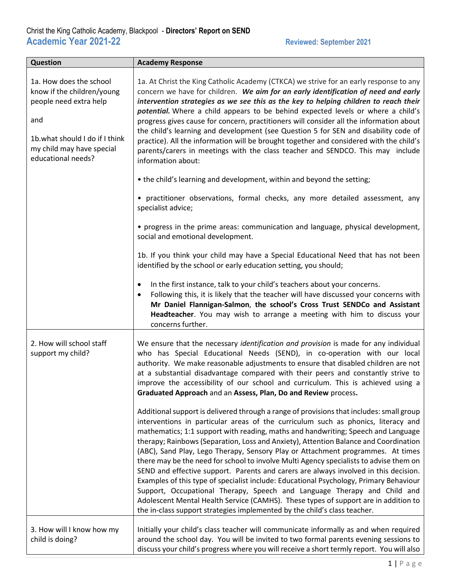| <b>Question</b>                                                                                                                                                             | <b>Academy Response</b>                                                                                                                                                                                                                                                                                                                                                                                                                                                                                                                                                                                                                                                                                                                                                                                                                                                                                                                                                   |
|-----------------------------------------------------------------------------------------------------------------------------------------------------------------------------|---------------------------------------------------------------------------------------------------------------------------------------------------------------------------------------------------------------------------------------------------------------------------------------------------------------------------------------------------------------------------------------------------------------------------------------------------------------------------------------------------------------------------------------------------------------------------------------------------------------------------------------------------------------------------------------------------------------------------------------------------------------------------------------------------------------------------------------------------------------------------------------------------------------------------------------------------------------------------|
| 1a. How does the school<br>know if the children/young<br>people need extra help<br>and<br>1b.what should I do if I think<br>my child may have special<br>educational needs? | 1a. At Christ the King Catholic Academy (CTKCA) we strive for an early response to any<br>concern we have for children. We aim for an early identification of need and early<br>intervention strategies as we see this as the key to helping children to reach their<br>potential. Where a child appears to be behind expected levels or where a child's<br>progress gives cause for concern, practitioners will consider all the information about<br>the child's learning and development (see Question 5 for SEN and disability code of<br>practice). All the information will be brought together and considered with the child's<br>parents/carers in meetings with the class teacher and SENDCO. This may include<br>information about:<br>• the child's learning and development, within and beyond the setting;                                                                                                                                                   |
|                                                                                                                                                                             | • practitioner observations, formal checks, any more detailed assessment, any<br>specialist advice;                                                                                                                                                                                                                                                                                                                                                                                                                                                                                                                                                                                                                                                                                                                                                                                                                                                                       |
|                                                                                                                                                                             | • progress in the prime areas: communication and language, physical development,<br>social and emotional development.                                                                                                                                                                                                                                                                                                                                                                                                                                                                                                                                                                                                                                                                                                                                                                                                                                                     |
|                                                                                                                                                                             | 1b. If you think your child may have a Special Educational Need that has not been<br>identified by the school or early education setting, you should;                                                                                                                                                                                                                                                                                                                                                                                                                                                                                                                                                                                                                                                                                                                                                                                                                     |
|                                                                                                                                                                             | In the first instance, talk to your child's teachers about your concerns.<br>٠<br>Following this, it is likely that the teacher will have discussed your concerns with<br>$\bullet$<br>Mr Daniel Flannigan-Salmon, the school's Cross Trust SENDCo and Assistant<br>Headteacher. You may wish to arrange a meeting with him to discuss your<br>concerns further.                                                                                                                                                                                                                                                                                                                                                                                                                                                                                                                                                                                                          |
| 2. How will school staff<br>support my child?                                                                                                                               | We ensure that the necessary identification and provision is made for any individual<br>who has Special Educational Needs (SEND), in co-operation with our local<br>authority. We make reasonable adjustments to ensure that disabled children are not<br>at a substantial disadvantage compared with their peers and constantly strive to<br>improve the accessibility of our school and curriculum. This is achieved using a<br>Graduated Approach and an Assess, Plan, Do and Review process.                                                                                                                                                                                                                                                                                                                                                                                                                                                                          |
|                                                                                                                                                                             | Additional support is delivered through a range of provisions that includes: small group<br>interventions in particular areas of the curriculum such as phonics, literacy and<br>mathematics; 1:1 support with reading, maths and handwriting; Speech and Language<br>therapy; Rainbows (Separation, Loss and Anxiety), Attention Balance and Coordination<br>(ABC), Sand Play, Lego Therapy, Sensory Play or Attachment programmes. At times<br>there may be the need for school to involve Multi Agency specialists to advise them on<br>SEND and effective support. Parents and carers are always involved in this decision.<br>Examples of this type of specialist include: Educational Psychology, Primary Behaviour<br>Support, Occupational Therapy, Speech and Language Therapy and Child and<br>Adolescent Mental Health Service (CAMHS). These types of support are in addition to<br>the in-class support strategies implemented by the child's class teacher. |
| 3. How will I know how my<br>child is doing?                                                                                                                                | Initially your child's class teacher will communicate informally as and when required<br>around the school day. You will be invited to two formal parents evening sessions to<br>discuss your child's progress where you will receive a short termly report. You will also                                                                                                                                                                                                                                                                                                                                                                                                                                                                                                                                                                                                                                                                                                |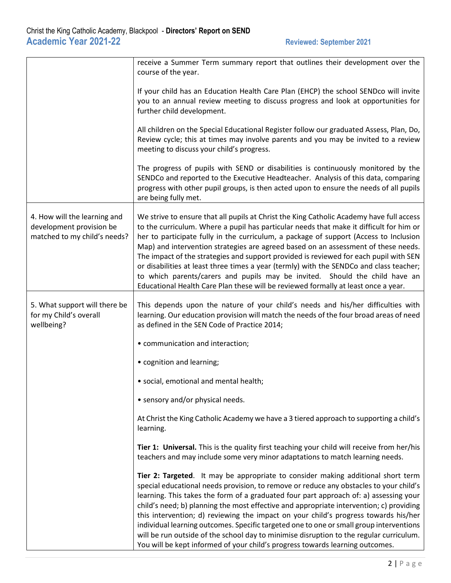|                                                                                          | receive a Summer Term summary report that outlines their development over the<br>course of the year.                                                                                                                                                                                                                                                                                                                                                                                                                                                                                                                                                                                                                         |
|------------------------------------------------------------------------------------------|------------------------------------------------------------------------------------------------------------------------------------------------------------------------------------------------------------------------------------------------------------------------------------------------------------------------------------------------------------------------------------------------------------------------------------------------------------------------------------------------------------------------------------------------------------------------------------------------------------------------------------------------------------------------------------------------------------------------------|
|                                                                                          | If your child has an Education Health Care Plan (EHCP) the school SENDco will invite<br>you to an annual review meeting to discuss progress and look at opportunities for<br>further child development.                                                                                                                                                                                                                                                                                                                                                                                                                                                                                                                      |
|                                                                                          | All children on the Special Educational Register follow our graduated Assess, Plan, Do,<br>Review cycle; this at times may involve parents and you may be invited to a review<br>meeting to discuss your child's progress.                                                                                                                                                                                                                                                                                                                                                                                                                                                                                                   |
|                                                                                          | The progress of pupils with SEND or disabilities is continuously monitored by the<br>SENDCo and reported to the Executive Headteacher. Analysis of this data, comparing<br>progress with other pupil groups, is then acted upon to ensure the needs of all pupils<br>are being fully met.                                                                                                                                                                                                                                                                                                                                                                                                                                    |
| 4. How will the learning and<br>development provision be<br>matched to my child's needs? | We strive to ensure that all pupils at Christ the King Catholic Academy have full access<br>to the curriculum. Where a pupil has particular needs that make it difficult for him or<br>her to participate fully in the curriculum, a package of support (Access to Inclusion<br>Map) and intervention strategies are agreed based on an assessment of these needs.<br>The impact of the strategies and support provided is reviewed for each pupil with SEN<br>or disabilities at least three times a year (termly) with the SENDCo and class teacher;<br>to which parents/carers and pupils may be invited. Should the child have an<br>Educational Health Care Plan these will be reviewed formally at least once a year.  |
| 5. What support will there be<br>for my Child's overall<br>wellbeing?                    | This depends upon the nature of your child's needs and his/her difficulties with<br>learning. Our education provision will match the needs of the four broad areas of need<br>as defined in the SEN Code of Practice 2014;                                                                                                                                                                                                                                                                                                                                                                                                                                                                                                   |
|                                                                                          | • communication and interaction;                                                                                                                                                                                                                                                                                                                                                                                                                                                                                                                                                                                                                                                                                             |
|                                                                                          | • cognition and learning;                                                                                                                                                                                                                                                                                                                                                                                                                                                                                                                                                                                                                                                                                                    |
|                                                                                          | · social, emotional and mental health;                                                                                                                                                                                                                                                                                                                                                                                                                                                                                                                                                                                                                                                                                       |
|                                                                                          | • sensory and/or physical needs.                                                                                                                                                                                                                                                                                                                                                                                                                                                                                                                                                                                                                                                                                             |
|                                                                                          | At Christ the King Catholic Academy we have a 3 tiered approach to supporting a child's<br>learning.                                                                                                                                                                                                                                                                                                                                                                                                                                                                                                                                                                                                                         |
|                                                                                          | Tier 1: Universal. This is the quality first teaching your child will receive from her/his<br>teachers and may include some very minor adaptations to match learning needs.                                                                                                                                                                                                                                                                                                                                                                                                                                                                                                                                                  |
|                                                                                          | Tier 2: Targeted. It may be appropriate to consider making additional short term<br>special educational needs provision, to remove or reduce any obstacles to your child's<br>learning. This takes the form of a graduated four part approach of: a) assessing your<br>child's need; b) planning the most effective and appropriate intervention; c) providing<br>this intervention; d) reviewing the impact on your child's progress towards his/her<br>individual learning outcomes. Specific targeted one to one or small group interventions<br>will be run outside of the school day to minimise disruption to the regular curriculum.<br>You will be kept informed of your child's progress towards learning outcomes. |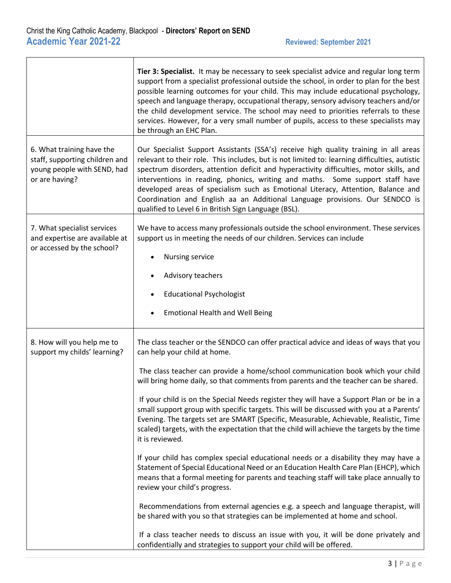|                                                                                                              | Tier 3: Specialist. It may be necessary to seek specialist advice and regular long term<br>support from a specialist professional outside the school, in order to plan for the best<br>possible learning outcomes for your child. This may include educational psychology,<br>speech and language therapy, occupational therapy, sensory advisory teachers and/or<br>the child development service. The school may need to priorities referrals to these<br>services. However, for a very small number of pupils, access to these specialists may<br>be through an EHC Plan.                                                                                                                                                                                                                                                                                                                                                                                                                                                                                                                                                                                                                                                                                                                                                                   |
|--------------------------------------------------------------------------------------------------------------|------------------------------------------------------------------------------------------------------------------------------------------------------------------------------------------------------------------------------------------------------------------------------------------------------------------------------------------------------------------------------------------------------------------------------------------------------------------------------------------------------------------------------------------------------------------------------------------------------------------------------------------------------------------------------------------------------------------------------------------------------------------------------------------------------------------------------------------------------------------------------------------------------------------------------------------------------------------------------------------------------------------------------------------------------------------------------------------------------------------------------------------------------------------------------------------------------------------------------------------------------------------------------------------------------------------------------------------------|
| 6. What training have the<br>staff, supporting children and<br>young people with SEND, had<br>or are having? | Our Specialist Support Assistants (SSA's) receive high quality training in all areas<br>relevant to their role. This includes, but is not limited to: learning difficulties, autistic<br>spectrum disorders, attention deficit and hyperactivity difficulties, motor skills, and<br>interventions in reading, phonics, writing and maths. Some support staff have<br>developed areas of specialism such as Emotional Literacy, Attention, Balance and<br>Coordination and English aa an Additional Language provisions. Our SENDCO is<br>qualified to Level 6 in British Sign Language (BSL).                                                                                                                                                                                                                                                                                                                                                                                                                                                                                                                                                                                                                                                                                                                                                  |
| 7. What specialist services<br>and expertise are available at<br>or accessed by the school?                  | We have to access many professionals outside the school environment. These services<br>support us in meeting the needs of our children. Services can include<br>Nursing service<br>Advisory teachers<br><b>Educational Psychologist</b><br><b>Emotional Health and Well Being</b>                                                                                                                                                                                                                                                                                                                                                                                                                                                                                                                                                                                                                                                                                                                                                                                                                                                                                                                                                                                                                                                              |
| 8. How will you help me to<br>support my childs' learning?                                                   | The class teacher or the SENDCO can offer practical advice and ideas of ways that you<br>can help your child at home.<br>The class teacher can provide a home/school communication book which your child<br>will bring home daily, so that comments from parents and the teacher can be shared.<br>If your child is on the Special Needs register they will have a Support Plan or be in a<br>small support group with specific targets. This will be discussed with you at a Parents'<br>Evening. The targets set are SMART (Specific, Measurable, Achievable, Realistic, Time<br>scaled) targets, with the expectation that the child will achieve the targets by the time<br>it is reviewed.<br>If your child has complex special educational needs or a disability they may have a<br>Statement of Special Educational Need or an Education Health Care Plan (EHCP), which<br>means that a formal meeting for parents and teaching staff will take place annually to<br>review your child's progress.<br>Recommendations from external agencies e.g. a speech and language therapist, will<br>be shared with you so that strategies can be implemented at home and school.<br>If a class teacher needs to discuss an issue with you, it will be done privately and<br>confidentially and strategies to support your child will be offered. |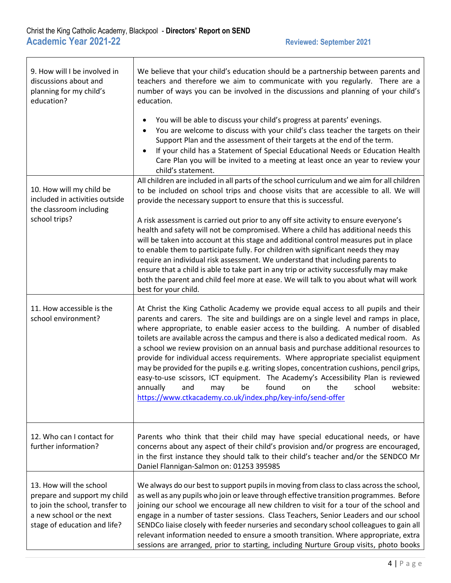| 9. How will I be involved in<br>discussions about and<br>planning for my child's<br>education?                                                         | We believe that your child's education should be a partnership between parents and<br>teachers and therefore we aim to communicate with you regularly. There are a<br>number of ways you can be involved in the discussions and planning of your child's<br>education.<br>You will be able to discuss your child's progress at parents' evenings.<br>You are welcome to discuss with your child's class teacher the targets on their<br>Support Plan and the assessment of their targets at the end of the term.<br>If your child has a Statement of Special Educational Needs or Education Health                                                                                                                                                                                                                                                                  |
|--------------------------------------------------------------------------------------------------------------------------------------------------------|---------------------------------------------------------------------------------------------------------------------------------------------------------------------------------------------------------------------------------------------------------------------------------------------------------------------------------------------------------------------------------------------------------------------------------------------------------------------------------------------------------------------------------------------------------------------------------------------------------------------------------------------------------------------------------------------------------------------------------------------------------------------------------------------------------------------------------------------------------------------|
|                                                                                                                                                        | Care Plan you will be invited to a meeting at least once an year to review your<br>child's statement.<br>All children are included in all parts of the school curriculum and we aim for all children                                                                                                                                                                                                                                                                                                                                                                                                                                                                                                                                                                                                                                                                |
| 10. How will my child be<br>included in activities outside<br>the classroom including<br>school trips?                                                 | to be included on school trips and choose visits that are accessible to all. We will<br>provide the necessary support to ensure that this is successful.                                                                                                                                                                                                                                                                                                                                                                                                                                                                                                                                                                                                                                                                                                            |
|                                                                                                                                                        | A risk assessment is carried out prior to any off site activity to ensure everyone's<br>health and safety will not be compromised. Where a child has additional needs this<br>will be taken into account at this stage and additional control measures put in place<br>to enable them to participate fully. For children with significant needs they may<br>require an individual risk assessment. We understand that including parents to<br>ensure that a child is able to take part in any trip or activity successfully may make<br>both the parent and child feel more at ease. We will talk to you about what will work<br>best for your child.                                                                                                                                                                                                               |
| 11. How accessible is the<br>school environment?                                                                                                       | At Christ the King Catholic Academy we provide equal access to all pupils and their<br>parents and carers. The site and buildings are on a single level and ramps in place,<br>where appropriate, to enable easier access to the building. A number of disabled<br>toilets are available across the campus and there is also a dedicated medical room. As<br>a school we review provision on an annual basis and purchase additional resources to<br>provide for individual access requirements. Where appropriate specialist equipment<br>may be provided for the pupils e.g. writing slopes, concentration cushions, pencil grips,<br>easy-to-use scissors, ICT equipment. The Academy's Accessibility Plan is reviewed<br>annually<br>and<br>may<br>be<br>found<br>on<br>the<br>school<br>website:<br>https://www.ctkacademy.co.uk/index.php/key-info/send-offer |
| 12. Who can I contact for<br>further information?                                                                                                      | Parents who think that their child may have special educational needs, or have<br>concerns about any aspect of their child's provision and/or progress are encouraged,<br>in the first instance they should talk to their child's teacher and/or the SENDCO Mr<br>Daniel Flannigan-Salmon on: 01253 395985                                                                                                                                                                                                                                                                                                                                                                                                                                                                                                                                                          |
| 13. How will the school<br>prepare and support my child<br>to join the school, transfer to<br>a new school or the next<br>stage of education and life? | We always do our best to support pupils in moving from class to class across the school,<br>as well as any pupils who join or leave through effective transition programmes. Before<br>joining our school we encourage all new children to visit for a tour of the school and<br>engage in a number of taster sessions. Class Teachers, Senior Leaders and our school<br>SENDCo liaise closely with feeder nurseries and secondary school colleagues to gain all<br>relevant information needed to ensure a smooth transition. Where appropriate, extra<br>sessions are arranged, prior to starting, including Nurture Group visits, photo books                                                                                                                                                                                                                    |